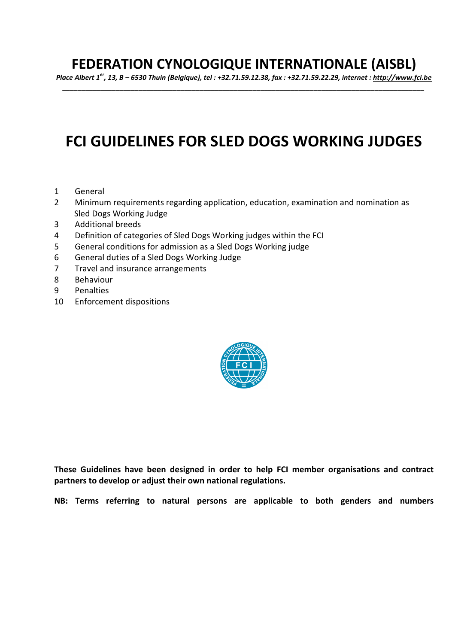## **FEDERATION CYNOLOGIQUE INTERNATIONALE (AISBL)**

*Place Albert 1er, 13, B – 6530 Thuin (Belgique), tel : +32.71.59.12.38, fax : +32.71.59.22.29, internet : http://www.fci.be \_\_\_\_\_\_\_\_\_\_\_\_\_\_\_\_\_\_\_\_\_\_\_\_\_\_\_\_\_\_\_\_\_\_\_\_\_\_\_\_\_\_\_\_\_\_\_\_\_\_\_\_\_\_\_\_\_\_\_\_\_\_\_\_\_\_\_\_\_\_\_\_\_\_\_\_\_\_\_\_\_\_\_\_\_\_\_\_\_\_\_\_\_\_\_* 

# **FCI GUIDELINES FOR SLED DOGS WORKING JUDGES**

- 1 General
- 2 Minimum requirements regarding application, education, examination and nomination as Sled Dogs Working Judge
- 3 Additional breeds
- 4 Definition of categories of Sled Dogs Working judges within the FCI
- 5 General conditions for admission as a Sled Dogs Working judge
- 6 General duties of a Sled Dogs Working Judge
- 7 Travel and insurance arrangements
- 8 Behaviour
- 9 Penalties
- 10 Enforcement dispositions



**These Guidelines have been designed in order to help FCI member organisations and contract partners to develop or adjust their own national regulations.** 

**NB: Terms referring to natural persons are applicable to both genders and numbers**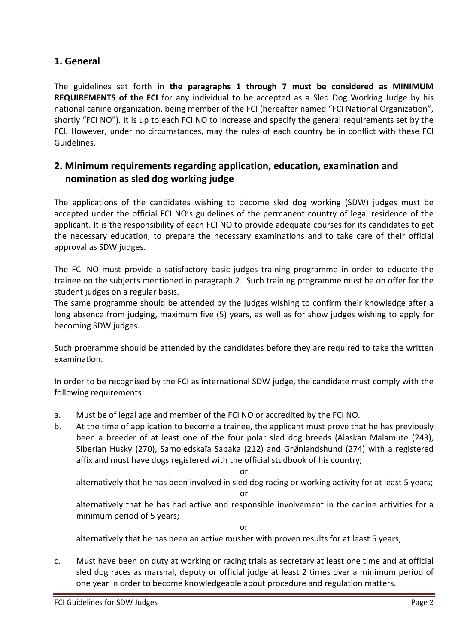## **1. General**

The guidelines set forth in **the paragraphs 1 through 7 must be considered as MINIMUM REQUIREMENTS of the FCI** for any individual to be accepted as a Sled Dog Working Judge by his national canine organization, being member of the FCI (hereafter named "FCI National Organization", shortly "FCI NO"). It is up to each FCI NO to increase and specify the general requirements set by the FCI. However, under no circumstances, may the rules of each country be in conflict with these FCI Guidelines.

## **2. Minimum requirements regarding application, education, examination and nomination as sled dog working judge**

The applications of the candidates wishing to become sled dog working (SDW) judges must be accepted under the official FCI NO's guidelines of the permanent country of legal residence of the applicant. It is the responsibility of each FCI NO to provide adequate courses for its candidates to get the necessary education, to prepare the necessary examinations and to take care of their official approval as SDW judges.

The FCI NO must provide a satisfactory basic judges training programme in order to educate the trainee on the subjects mentioned in paragraph 2. Such training programme must be on offer for the student judges on a regular basis.

The same programme should be attended by the judges wishing to confirm their knowledge after a long absence from judging, maximum five (5) years, as well as for show judges wishing to apply for becoming SDW judges.

Such programme should be attended by the candidates before they are required to take the written examination.

In order to be recognised by the FCI as international SDW judge, the candidate must comply with the following requirements:

- a. Must be of legal age and member of the FCI NO or accredited by the FCI NO.
- b. At the time of application to become a trainee, the applicant must prove that he has previously been a breeder of at least one of the four polar sled dog breeds (Alaskan Malamute (243), Siberian Husky (270), Samoiedskaïa Sabaka (212) and GrØnlandshund (274) with a registered affix and must have dogs registered with the official studbook of his country;

or

 alternatively that he has been involved in sled dog racing or working activity for at least 5 years; or

 alternatively that he has had active and responsible involvement in the canine activities for a minimum period of 5 years;

or alternatively that he has been an active musher with proven results for at least 5 years;

c. Must have been on duty at working or racing trials as secretary at least one time and at official sled dog races as marshal, deputy or official judge at least 2 times over a minimum period of one year in order to become knowledgeable about procedure and regulation matters.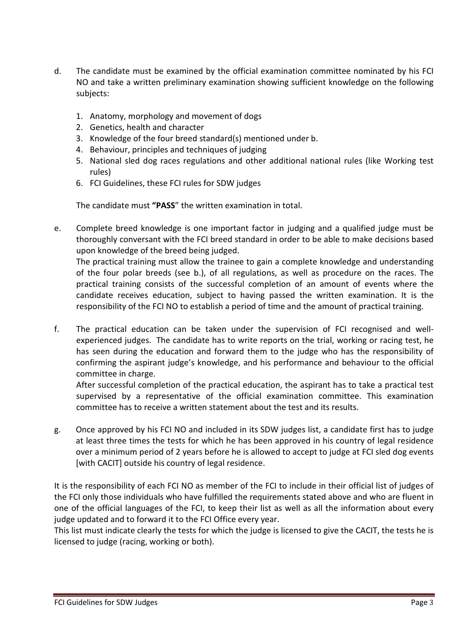- d. The candidate must be examined by the official examination committee nominated by his FCI NO and take a written preliminary examination showing sufficient knowledge on the following subjects:
	- 1. Anatomy, morphology and movement of dogs
	- 2. Genetics, health and character
	- 3. Knowledge of the four breed standard(s) mentioned under b.
	- 4. Behaviour, principles and techniques of judging
	- 5. National sled dog races regulations and other additional national rules (like Working test rules)
	- 6. FCI Guidelines, these FCI rules for SDW judges

The candidate must **"PASS**" the written examination in total.

e. Complete breed knowledge is one important factor in judging and a qualified judge must be thoroughly conversant with the FCI breed standard in order to be able to make decisions based upon knowledge of the breed being judged.

 The practical training must allow the trainee to gain a complete knowledge and understanding of the four polar breeds (see b.), of all regulations, as well as procedure on the races. The practical training consists of the successful completion of an amount of events where the candidate receives education, subject to having passed the written examination. It is the responsibility of the FCI NO to establish a period of time and the amount of practical training.

f. The practical education can be taken under the supervision of FCI recognised and wellexperienced judges. The candidate has to write reports on the trial, working or racing test, he has seen during the education and forward them to the judge who has the responsibility of confirming the aspirant judge's knowledge, and his performance and behaviour to the official committee in charge.

 After successful completion of the practical education, the aspirant has to take a practical test supervised by a representative of the official examination committee. This examination committee has to receive a written statement about the test and its results.

g. Once approved by his FCI NO and included in its SDW judges list, a candidate first has to judge at least three times the tests for which he has been approved in his country of legal residence over a minimum period of 2 years before he is allowed to accept to judge at FCI sled dog events [with CACIT] outside his country of legal residence.

It is the responsibility of each FCI NO as member of the FCI to include in their official list of judges of the FCI only those individuals who have fulfilled the requirements stated above and who are fluent in one of the official languages of the FCI, to keep their list as well as all the information about every judge updated and to forward it to the FCI Office every year.

This list must indicate clearly the tests for which the judge is licensed to give the CACIT, the tests he is licensed to judge (racing, working or both).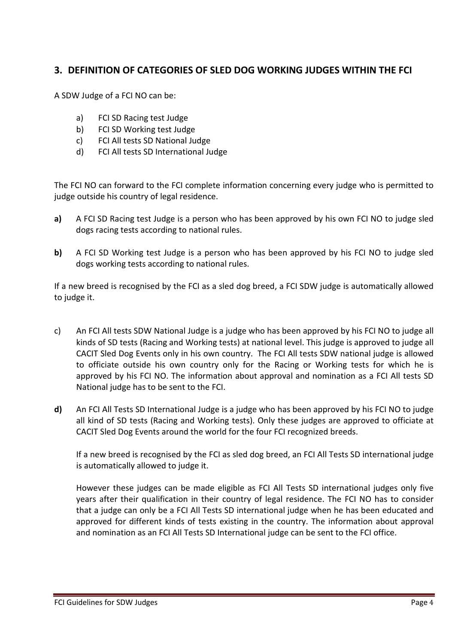## **3. DEFINITION OF CATEGORIES OF SLED DOG WORKING JUDGES WITHIN THE FCI**

A SDW Judge of a FCI NO can be:

- a) FCI SD Racing test Judge
- b) FCI SD Working test Judge
- c) FCI All tests SD National Judge
- d) FCI All tests SD International Judge

The FCI NO can forward to the FCI complete information concerning every judge who is permitted to judge outside his country of legal residence.

- **a)** A FCI SD Racing test Judge is a person who has been approved by his own FCI NO to judge sled dogs racing tests according to national rules.
- **b)** A FCI SD Working test Judge is a person who has been approved by his FCI NO to judge sled dogs working tests according to national rules.

If a new breed is recognised by the FCI as a sled dog breed, a FCI SDW judge is automatically allowed to judge it.

- c) An FCI All tests SDW National Judge is a judge who has been approved by his FCI NO to judge all kinds of SD tests (Racing and Working tests) at national level. This judge is approved to judge all CACIT Sled Dog Events only in his own country. The FCI All tests SDW national judge is allowed to officiate outside his own country only for the Racing or Working tests for which he is approved by his FCI NO. The information about approval and nomination as a FCI All tests SD National judge has to be sent to the FCI.
- **d)** An FCI All Tests SD International Judge is a judge who has been approved by his FCI NO to judge all kind of SD tests (Racing and Working tests). Only these judges are approved to officiate at CACIT Sled Dog Events around the world for the four FCI recognized breeds.

 If a new breed is recognised by the FCI as sled dog breed, an FCI All Tests SD international judge is automatically allowed to judge it.

 However these judges can be made eligible as FCI All Tests SD international judges only five years after their qualification in their country of legal residence. The FCI NO has to consider that a judge can only be a FCI All Tests SD international judge when he has been educated and approved for different kinds of tests existing in the country. The information about approval and nomination as an FCI All Tests SD International judge can be sent to the FCI office.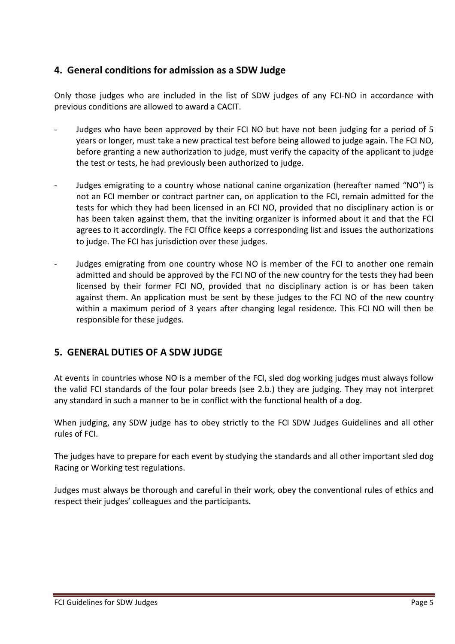## **4. General conditions for admission as a SDW Judge**

Only those judges who are included in the list of SDW judges of any FCI-NO in accordance with previous conditions are allowed to award a CACIT.

- Judges who have been approved by their FCI NO but have not been judging for a period of 5 years or longer, must take a new practical test before being allowed to judge again. The FCI NO, before granting a new authorization to judge, must verify the capacity of the applicant to judge the test or tests, he had previously been authorized to judge.
- Judges emigrating to a country whose national canine organization (hereafter named "NO") is not an FCI member or contract partner can, on application to the FCI, remain admitted for the tests for which they had been licensed in an FCI NO, provided that no disciplinary action is or has been taken against them, that the inviting organizer is informed about it and that the FCI agrees to it accordingly. The FCI Office keeps a corresponding list and issues the authorizations to judge. The FCI has jurisdiction over these judges.
- Judges emigrating from one country whose NO is member of the FCI to another one remain admitted and should be approved by the FCI NO of the new country for the tests they had been licensed by their former FCI NO, provided that no disciplinary action is or has been taken against them. An application must be sent by these judges to the FCI NO of the new country within a maximum period of 3 years after changing legal residence. This FCI NO will then be responsible for these judges.

## **5. GENERAL DUTIES OF A SDW JUDGE**

At events in countries whose NO is a member of the FCI, sled dog working judges must always follow the valid FCI standards of the four polar breeds (see 2.b.) they are judging. They may not interpret any standard in such a manner to be in conflict with the functional health of a dog.

When judging, any SDW judge has to obey strictly to the FCI SDW Judges Guidelines and all other rules of FCI.

The judges have to prepare for each event by studying the standards and all other important sled dog Racing or Working test regulations.

Judges must always be thorough and careful in their work, obey the conventional rules of ethics and respect their judges' colleagues and the participants*.*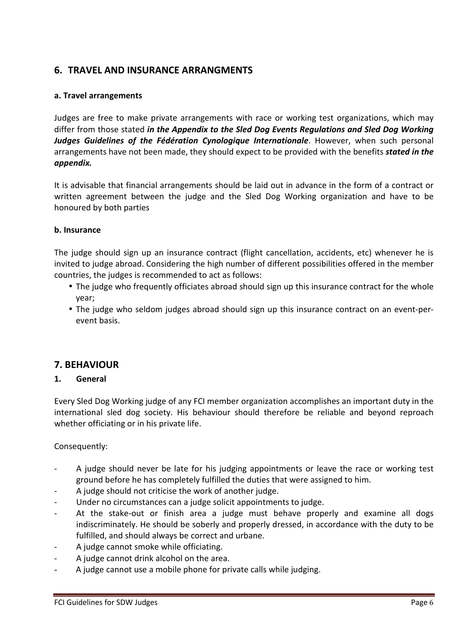## **6. TRAVEL AND INSURANCE ARRANGMENTS**

#### **a. Travel arrangements**

Judges are free to make private arrangements with race or working test organizations, which may differ from those stated *in the Appendix to the Sled Dog Events Regulations and Sled Dog Working*  Judges Guidelines of the Fédération Cynologique Internationale. However, when such personal arrangements have not been made, they should expect to be provided with the benefits *stated in the appendix.*

It is advisable that financial arrangements should be laid out in advance in the form of a contract or written agreement between the judge and the Sled Dog Working organization and have to be honoured by both parties

#### **b. Insurance**

The judge should sign up an insurance contract (flight cancellation, accidents, etc) whenever he is invited to judge abroad. Considering the high number of different possibilities offered in the member countries, the judges is recommended to act as follows:

- The judge who frequently officiates abroad should sign up this insurance contract for the whole year;
- The judge who seldom judges abroad should sign up this insurance contract on an event-perevent basis.

#### **7. BEHAVIOUR**

#### **1. General**

Every Sled Dog Working judge of any FCI member organization accomplishes an important duty in the international sled dog society. His behaviour should therefore be reliable and beyond reproach whether officiating or in his private life.

Consequently:

- A judge should never be late for his judging appointments or leave the race or working test ground before he has completely fulfilled the duties that were assigned to him.
- A judge should not criticise the work of another judge.
- Under no circumstances can a judge solicit appointments to judge.
- At the stake-out or finish area a judge must behave properly and examine all dogs indiscriminately. He should be soberly and properly dressed, in accordance with the duty to be fulfilled, and should always be correct and urbane.
- A judge cannot smoke while officiating.
- A judge cannot drink alcohol on the area.
- A judge cannot use a mobile phone for private calls while judging.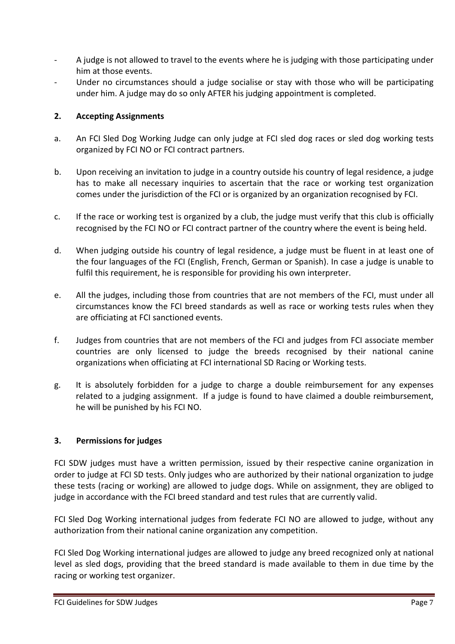- A judge is not allowed to travel to the events where he is judging with those participating under him at those events.
- Under no circumstances should a judge socialise or stay with those who will be participating under him. A judge may do so only AFTER his judging appointment is completed.

#### **2. Accepting Assignments**

- a. An FCI Sled Dog Working Judge can only judge at FCI sled dog races or sled dog working tests organized by FCI NO or FCI contract partners.
- b. Upon receiving an invitation to judge in a country outside his country of legal residence, a judge has to make all necessary inquiries to ascertain that the race or working test organization comes under the jurisdiction of the FCI or is organized by an organization recognised by FCI.
- c. If the race or working test is organized by a club, the judge must verify that this club is officially recognised by the FCI NO or FCI contract partner of the country where the event is being held.
- d. When judging outside his country of legal residence, a judge must be fluent in at least one of the four languages of the FCI (English, French, German or Spanish). In case a judge is unable to fulfil this requirement, he is responsible for providing his own interpreter.
- e. All the judges, including those from countries that are not members of the FCI, must under all circumstances know the FCI breed standards as well as race or working tests rules when they are officiating at FCI sanctioned events.
- f. Judges from countries that are not members of the FCI and judges from FCI associate member countries are only licensed to judge the breeds recognised by their national canine organizations when officiating at FCI international SD Racing or Working tests.
- g. It is absolutely forbidden for a judge to charge a double reimbursement for any expenses related to a judging assignment. If a judge is found to have claimed a double reimbursement, he will be punished by his FCI NO.

#### **3. Permissions for judges**

FCI SDW judges must have a written permission, issued by their respective canine organization in order to judge at FCI SD tests. Only judges who are authorized by their national organization to judge these tests (racing or working) are allowed to judge dogs. While on assignment, they are obliged to judge in accordance with the FCI breed standard and test rules that are currently valid.

FCI Sled Dog Working international judges from federate FCI NO are allowed to judge, without any authorization from their national canine organization any competition.

FCI Sled Dog Working international judges are allowed to judge any breed recognized only at national level as sled dogs, providing that the breed standard is made available to them in due time by the racing or working test organizer.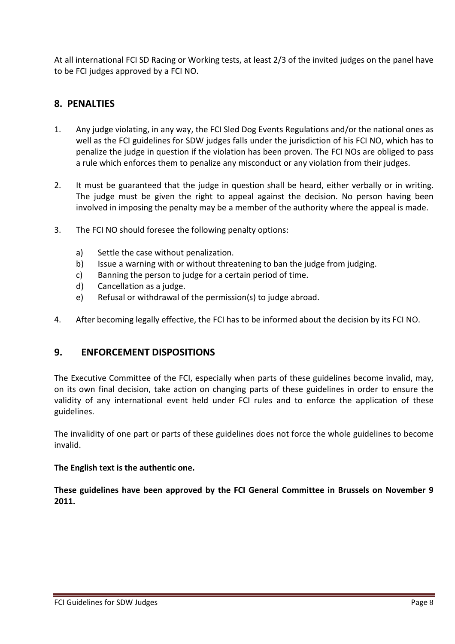At all international FCI SD Racing or Working tests, at least 2/3 of the invited judges on the panel have to be FCI judges approved by a FCI NO.

## **8. PENALTIES**

- 1. Any judge violating, in any way, the FCI Sled Dog Events Regulations and/or the national ones as well as the FCI guidelines for SDW judges falls under the jurisdiction of his FCI NO, which has to penalize the judge in question if the violation has been proven. The FCI NOs are obliged to pass a rule which enforces them to penalize any misconduct or any violation from their judges.
- 2. It must be guaranteed that the judge in question shall be heard, either verbally or in writing. The judge must be given the right to appeal against the decision. No person having been involved in imposing the penalty may be a member of the authority where the appeal is made.
- 3. The FCI NO should foresee the following penalty options:
	- a) Settle the case without penalization.
	- b) Issue a warning with or without threatening to ban the judge from judging.
	- c) Banning the person to judge for a certain period of time.
	- d) Cancellation as a judge.
	- e) Refusal or withdrawal of the permission(s) to judge abroad.
- 4. After becoming legally effective, the FCI has to be informed about the decision by its FCI NO.

#### **9. ENFORCEMENT DISPOSITIONS**

The Executive Committee of the FCI, especially when parts of these guidelines become invalid, may, on its own final decision, take action on changing parts of these guidelines in order to ensure the validity of any international event held under FCI rules and to enforce the application of these guidelines.

The invalidity of one part or parts of these guidelines does not force the whole guidelines to become invalid.

#### **The English text is the authentic one.**

**These guidelines have been approved by the FCI General Committee in Brussels on November 9 2011.**